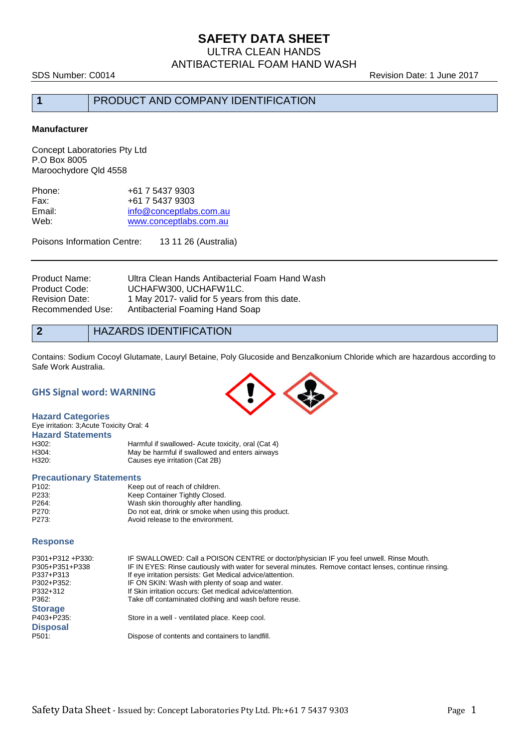# **SAFETY DATA SHEET**

ULTRA CLEAN HANDS ANTIBACTERIAL FOAM HAND WASH

SDS Number: C0014 Revision Date: 1 June 2017

## **1** PRODUCT AND COMPANY IDENTIFICATION

#### **Manufacturer**

Concept Laboratories Pty Ltd P.O Box 8005 Maroochydore Qld 4558

| Phone: | +61 7 5437 9303         |
|--------|-------------------------|
| Fax:   | +61 7 5437 9303         |
| Email: | info@conceptlabs.com.au |
| Web:   | www.conceptlabs.com.au  |
|        |                         |

Poisons Information Centre: 13 11 26 (Australia)

| Product Name:    | Ultra Clean Hands Antibacterial Foam Hand Wash |
|------------------|------------------------------------------------|
| Product Code:    | UCHAFW300, UCHAFW1LC.                          |
| Revision Date:   | 1 May 2017- valid for 5 years from this date.  |
| Recommended Use: | Antibacterial Foaming Hand Soap                |

### **2** HAZARDS IDENTIFICATION

Contains: Sodium Cocoyl Glutamate, Lauryl Betaine, Poly Glucoside and Benzalkonium Chloride which are hazardous according to Safe Work Australia.

#### **GHS Signal word: WARNING**

#### **Hazard Categories**

| Eye irritation: 3: Acute Toxicity Oral: 4 |                                                    |
|-------------------------------------------|----------------------------------------------------|
| <b>Hazard Statements</b>                  |                                                    |
| H302:                                     | Harmful if swallowed- Acute toxicity, oral (Cat 4) |
| H304:                                     | May be harmful if swallowed and enters airways     |
| H320:                                     | Causes eye irritation (Cat 2B)                     |

#### **Precautionary Statements**

| Keep out of reach of children.                      |
|-----------------------------------------------------|
| Keep Container Tightly Closed.                      |
| Wash skin thoroughly after handling.                |
| Do not eat, drink or smoke when using this product. |
| Avoid release to the environment.                   |
|                                                     |

#### **Response**

| P301+P312 +P330: | IF SWALLOWED: Call a POISON CENTRE or doctor/physician IF you feel unwell. Rinse Mouth.               |
|------------------|-------------------------------------------------------------------------------------------------------|
| P305+P351+P338   | IF IN EYES: Rinse cautiously with water for several minutes. Remove contact lenses, continue rinsing. |
| P337+P313        | If eye irritation persists: Get Medical advice/attention.                                             |
| P302+P352:       | IF ON SKIN: Wash with plenty of soap and water.                                                       |
| P332+312         | If Skin irritation occurs: Get medical advice/attention.                                              |
| P362:            | Take off contaminated clothing and wash before reuse.                                                 |
| <b>Storage</b>   |                                                                                                       |
| P403+P235:       | Store in a well - ventilated place. Keep cool.                                                        |
| <b>Disposal</b>  |                                                                                                       |
| P501:            | Dispose of contents and containers to landfill.                                                       |

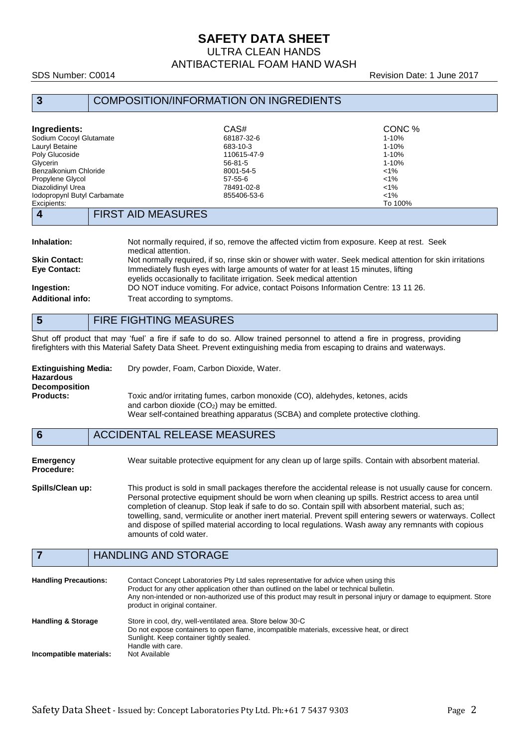# **SAFETY DATA SHEET**

ULTRA CLEAN HANDS ANTIBACTERIAL FOAM HAND WASH

#### SDS Number: C0014 **Revision Date: 1 June 2017**

| $\mathbf{3}$                                                                                                                                                                                                                       | <b>COMPOSITION/INFORMATION ON INGREDIENTS</b>                                                                                                                                                                                                                                                           |                                                                                                                                                                                                                                                                                                                                                                                                                                                                                                                                              |
|------------------------------------------------------------------------------------------------------------------------------------------------------------------------------------------------------------------------------------|---------------------------------------------------------------------------------------------------------------------------------------------------------------------------------------------------------------------------------------------------------------------------------------------------------|----------------------------------------------------------------------------------------------------------------------------------------------------------------------------------------------------------------------------------------------------------------------------------------------------------------------------------------------------------------------------------------------------------------------------------------------------------------------------------------------------------------------------------------------|
| Ingredients:<br>Sodium Cocoyl Glutamate<br>Lauryl Betaine<br>Poly Glucoside<br>Glycerin<br>Benzalkonium Chloride<br>Propylene Glycol<br>Diazolidinyl Urea<br>Iodopropynl Butyl Carbamate<br>Excipients:<br>$\overline{\mathbf{4}}$ | CAS#<br>68187-32-6<br>683-10-3<br>110615-47-9<br>$56 - 81 - 5$<br>8001-54-5<br>$57 - 55 - 6$<br>78491-02-8<br>855406-53-6<br><b>FIRST AID MEASURES</b>                                                                                                                                                  | CONC%<br>1-10%<br>$1 - 10%$<br>$1 - 10%$<br>1-10%<br>$< 1\%$<br>$< 1\%$<br>$< 1\%$<br>$< 1\%$<br>To 100%                                                                                                                                                                                                                                                                                                                                                                                                                                     |
| Inhalation:<br><b>Skin Contact:</b><br><b>Eye Contact:</b><br>Ingestion:<br><b>Additional info:</b>                                                                                                                                | medical attention.<br>Immediately flush eyes with large amounts of water for at least 15 minutes, lifting<br>eyelids occasionally to facilitate irrigation. Seek medical attention<br>DO NOT induce vomiting. For advice, contact Poisons Information Centre: 13 11 26.<br>Treat according to symptoms. | Not normally required, if so, remove the affected victim from exposure. Keep at rest. Seek<br>Not normally required, if so, rinse skin or shower with water. Seek medical attention for skin irritations                                                                                                                                                                                                                                                                                                                                     |
| $5\phantom{1}$                                                                                                                                                                                                                     | <b>FIRE FIGHTING MEASURES</b>                                                                                                                                                                                                                                                                           |                                                                                                                                                                                                                                                                                                                                                                                                                                                                                                                                              |
|                                                                                                                                                                                                                                    | firefighters with this Material Safety Data Sheet. Prevent extinguishing media from escaping to drains and waterways.                                                                                                                                                                                   | Shut off product that may 'fuel' a fire if safe to do so. Allow trained personnel to attend a fire in progress, providing                                                                                                                                                                                                                                                                                                                                                                                                                    |
| <b>Extinguishing Media:</b><br><b>Hazardous</b><br><b>Decomposition</b><br><b>Products:</b>                                                                                                                                        | Dry powder, Foam, Carbon Dioxide, Water.<br>Toxic and/or irritating fumes, carbon monoxide (CO), aldehydes, ketones, acids<br>and carbon dioxide (CO <sub>2</sub> ) may be emitted.<br>Wear self-contained breathing apparatus (SCBA) and complete protective clothing.                                 |                                                                                                                                                                                                                                                                                                                                                                                                                                                                                                                                              |
| $6\phantom{1}6$                                                                                                                                                                                                                    | <b>ACCIDENTAL RELEASE MEASURES</b>                                                                                                                                                                                                                                                                      |                                                                                                                                                                                                                                                                                                                                                                                                                                                                                                                                              |
| <b>Emergency</b><br><b>Procedure:</b>                                                                                                                                                                                              |                                                                                                                                                                                                                                                                                                         | Wear suitable protective equipment for any clean up of large spills. Contain with absorbent material.                                                                                                                                                                                                                                                                                                                                                                                                                                        |
| Spills/Clean up:                                                                                                                                                                                                                   | amounts of cold water.                                                                                                                                                                                                                                                                                  | This product is sold in small packages therefore the accidental release is not usually cause for concern.<br>Personal protective equipment should be worn when cleaning up spills. Restrict access to area until<br>completion of cleanup. Stop leak if safe to do so. Contain spill with absorbent material, such as;<br>towelling, sand, vermiculite or another inert material. Prevent spill entering sewers or waterways. Collect<br>and dispose of spilled material according to local regulations. Wash away any remnants with copious |
| $\overline{7}$                                                                                                                                                                                                                     | <b>HANDLING AND STORAGE</b>                                                                                                                                                                                                                                                                             |                                                                                                                                                                                                                                                                                                                                                                                                                                                                                                                                              |
| <b>Handling Precautions:</b>                                                                                                                                                                                                       | Contact Concept Laboratories Pty Ltd sales representative for advice when using this<br>Product for any other application other than outlined on the label or technical bulletin.<br>product in original container.                                                                                     | Any non-intended or non-authorized use of this product may result in personal injury or damage to equipment. Store                                                                                                                                                                                                                                                                                                                                                                                                                           |
| <b>Handling &amp; Storage</b><br>Incompatible materials:                                                                                                                                                                           | Store in cool, dry, well-ventilated area. Store below 30 °C<br>Do not expose containers to open flame, incompatible materials, excessive heat, or direct<br>Sunlight. Keep container tightly sealed.<br>Handle with care.<br>Not Available                                                              |                                                                                                                                                                                                                                                                                                                                                                                                                                                                                                                                              |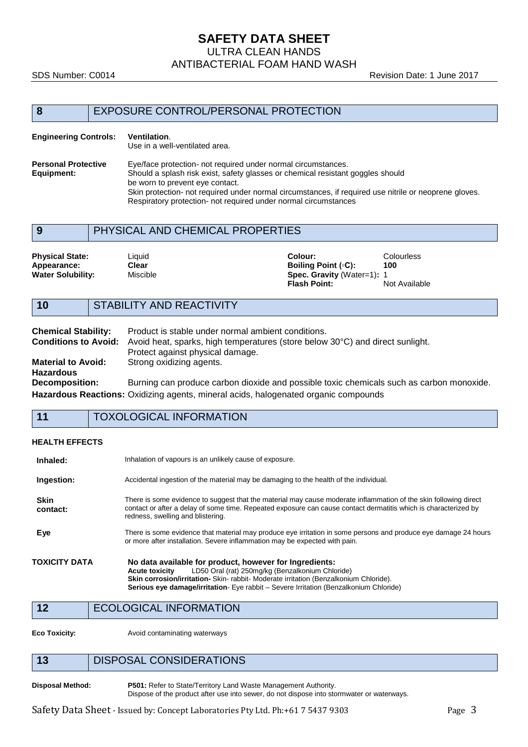### **SAFETY DATA SHEET** ULTRA CLEAN HANDS ANTIBACTERIAL FOAM HAND WASH

SDS Number: C0014 Revision Date: 1 June 2017

### **8** EXPOSURE CONTROL/PERSONAL PROTECTION

#### **Engineering Controls: Ventilation**.

Use in a well-ventilated area.

**Personal Protective** Eye/face protection- not required under normal circumstances.<br> **Equipment:** Should a splash risk exist, safety glasses or chemical resistant Should a splash risk exist, safety glasses or chemical resistant goggles should be worn to prevent eye contact. Skin protection- not required under normal circumstances, if required use nitrile or neoprene gloves. Respiratory protection- not required under normal circumstances

## **9** PHYSICAL AND CHEMICAL PROPERTIES

| <b>Physical State:</b><br>Liquid<br>Clear<br>Appearance:<br><b>Water Solubility:</b><br>Miscible | Colour:<br>Colourless<br>Boiling Point (∘C):<br>100<br><b>Spec. Gravity</b> (Water=1): 1<br>Not Available<br><b>Flash Point:</b> |  |
|--------------------------------------------------------------------------------------------------|----------------------------------------------------------------------------------------------------------------------------------|--|
|--------------------------------------------------------------------------------------------------|----------------------------------------------------------------------------------------------------------------------------------|--|

## **10** STABILITY AND REACTIVITY

| <b>Chemical Stability:</b>  | Product is stable under normal ambient conditions.                                       |
|-----------------------------|------------------------------------------------------------------------------------------|
| <b>Conditions to Avoid:</b> | Avoid heat, sparks, high temperatures (store below 30°C) and direct sunlight.            |
|                             | Protect against physical damage.                                                         |
| <b>Material to Avoid:</b>   | Strong oxidizing agents.                                                                 |
| <b>Hazardous</b>            |                                                                                          |
| <b>Decomposition:</b>       | Burning can produce carbon dioxide and possible toxic chemicals such as carbon monoxide. |
|                             | Hazardous Reactions: Oxidizing agents, mineral acids, halogenated organic compounds      |

**11** TOXOLOGICAL INFORMATION

#### **HEALTH EFFECTS**

| Inhaled:                | Inhalation of vapours is an unlikely cause of exposure.                                                                                                                                                                                                                                                               |
|-------------------------|-----------------------------------------------------------------------------------------------------------------------------------------------------------------------------------------------------------------------------------------------------------------------------------------------------------------------|
| Ingestion:              | Accidental ingestion of the material may be damaging to the health of the individual.                                                                                                                                                                                                                                 |
| <b>Skin</b><br>contact: | There is some evidence to suggest that the material may cause moderate inflammation of the skin following direct<br>contact or after a delay of some time. Repeated exposure can cause contact dermatitis which is characterized by<br>redness, swelling and blistering.                                              |
| Eye                     | There is some evidence that material may produce eye irritation in some persons and produce eye damage 24 hours<br>or more after installation. Severe inflammation may be expected with pain.                                                                                                                         |
| TOXICITY DATA           | No data available for product, however for Ingredients:<br>LD50 Oral (rat) 250mg/kg (Benzalkonium Chloride)<br><b>Acute toxicity</b><br>Skin corrosion/irritation- Skin-rabbit- Moderate irritation (Benzalkonium Chloride).<br>Serious eye damage/irritation- Eye rabbit - Severe Irritation (Benzalkonium Chloride) |

12 ECOLOGICAL INFORMATION

**Eco Toxicity:** Avoid contaminating waterways

# **13** DISPOSAL CONSIDERATIONS

**Disposal Method: P501:** Refer to State/Territory Land Waste Management Authority. Dispose of the product after use into sewer, do not dispose into stormwater or waterways.